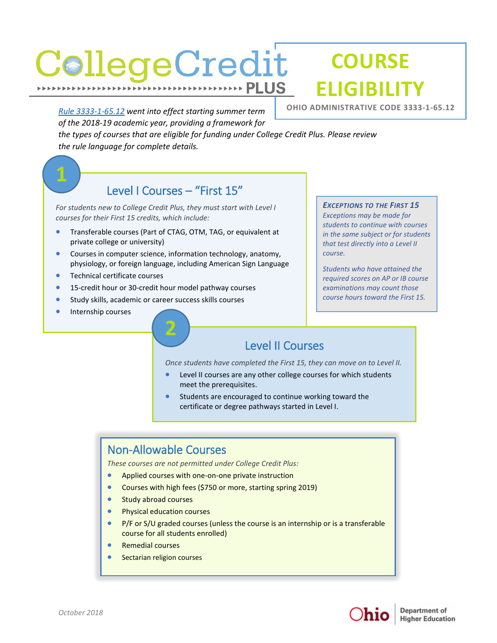## CollegeCredit **PLUS**

# **COURSE ELIGIBILITY**

*[Rule 3333-1-65.12](http://codes.ohio.gov/oac/3333-1-65.12) went into effect starting summer term of the 2018-19 academic year, providing a framework for* 

*the types of courses that are eligible for funding under College Credit Plus. Please review the rule language for complete details.* 

#### Level I Courses – "First 15"

*For students new to College Credit Plus, they must start with Level I courses for their First 15 credits, which include:* 

- **Transferable courses (Part of [CTAG,](https://www.ohiohighered.org/transfer/ct2/ctags) [OTM,](https://www.ohiohighered.org/transfer/transfermodule) [TAG,](https://www.ohiohighered.org/transfer/tag) or equivalent at** private college or university)
- Courses in computer science, information technology, anatomy, physiology, or foreign language, including American Sign Language

**2**

- **•** Technical certificate courses
- **15-credit hour or 30-credit hour model pathway courses**
- Study skills, academic or career success skills courses
- **Internship courses**

**OHIO ADMINISTRATIVE CODE 3333-1-65.12** 

#### *EXCEPTIONS TO THE FIRST 15 Exceptions may be made for students to continue with courses in the same subject or for students that test directly into a Level II course.*

*Students who have attained the required scores on AP or IB course examinations may count those course hours toward the First 15.*

### Level II Courses

*Once students have completed the First 15, they can move on to Level II.* 

- Level II courses are any other college courses for which students meet the prerequisites.
- Students are encouraged to continue working toward the certificate or degree pathways started in Level I.

#### Non-Allowable Courses

*These courses are not permitted under College Credit Plus:*

- **Applied courses with one-on-one private instruction**
- Courses with high fees (\$750 or more, starting spring 2019)
- **Study abroad courses**
- **•** Physical education courses
- P/F or S/U graded courses (unless the course is an internship or is a transferable course for all students enrolled)
- Remedial courses
- Sectarian religion courses